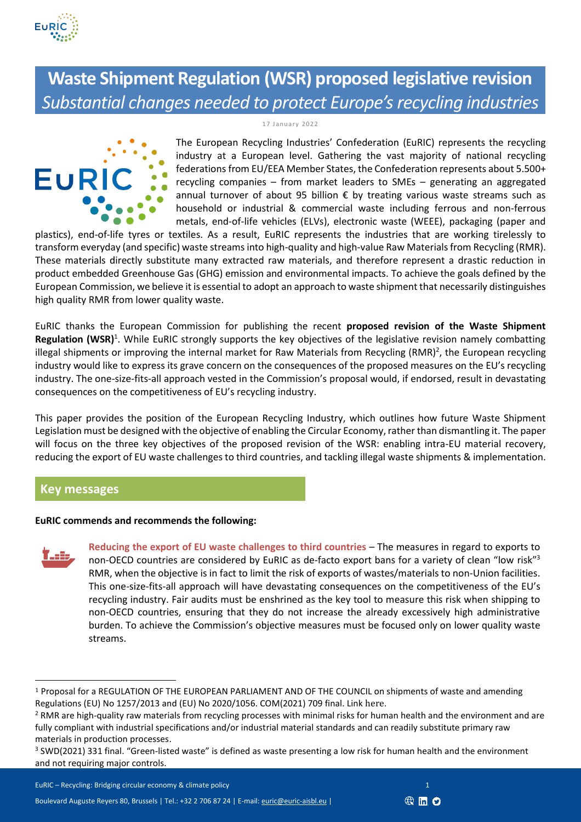

# **Waste Shipment Regulation (WSR) proposed legislative revision** *Substantial changes needed to protect Europe's recycling industries*

1 7 Janua ry 20 22



The European Recycling Industries' Confederation (EuRIC) represents the recycling industry at a European level. Gathering the vast majority of national recycling federations from EU/EEA Member States, the Confederation represents about 5.500+ recycling companies – from market leaders to SMEs – generating an aggregated annual turnover of about 95 billion  $\epsilon$  by treating various waste streams such as household or industrial & commercial waste including ferrous and non-ferrous metals, end-of-life vehicles (ELVs), electronic waste (WEEE), packaging (paper and

plastics), end-of-life tyres or textiles. As a result, EuRIC represents the industries that are working tirelessly to transform everyday (and specific) waste streams into high-quality and high-value Raw Materials from Recycling (RMR). These materials directly substitute many extracted raw materials, and therefore represent a drastic reduction in product embedded Greenhouse Gas (GHG) emission and environmental impacts. To achieve the goals defined by the European Commission, we believe it is essential to adopt an approach to waste shipment that necessarily distinguishes high quality RMR from lower quality waste.

EuRIC thanks the European Commission for publishing the recent **proposed revision of the Waste Shipment**  Regulation (WSR)<sup>1</sup>. While EuRIC strongly supports the key objectives of the legislative revision namely combatting illegal shipments or improving the internal market for Raw Materials from Recycling (RMR)<sup>2</sup>, the European recycling industry would like to express its grave concern on the consequences of the proposed measures on the EU's recycling industry. The one-size-fits-all approach vested in the Commission's proposal would, if endorsed, result in devastating consequences on the competitiveness of EU's recycling industry.

This paper provides the position of the European Recycling Industry, which outlines how future Waste Shipment Legislation must be designed with the objective of enabling the Circular Economy, rather than dismantling it. The paper will focus on the three key objectives of the proposed revision of the WSR: enabling intra-EU material recovery, reducing the export of EU waste challenges to third countries, and tackling illegal waste shipments & implementation.

## **Key messages**

## **EuRIC commends and recommends the following:**



**Reducing the export of EU waste challenges to third countries** – The measures in regard to exports to non-OECD countries are considered by EuRIC as de-facto export bans for a variety of clean "low risk"<sup>3</sup> RMR, when the objective is in fact to limit the risk of exports of wastes/materials to non-Union facilities. This one-size-fits-all approach will have devastating consequences on the competitiveness of the EU's recycling industry. Fair audits must be enshrined as the key tool to measure this risk when shipping to non-OECD countries, ensuring that they do not increase the already excessively high administrative burden. To achieve the Commission's objective measures must be focused only on lower quality waste streams.



<sup>1</sup> Proposal for a REGULATION OF THE EUROPEAN PARLIAMENT AND OF THE COUNCIL on shipments of waste and amending Regulations (EU) No 1257/2013 and (EU) No 2020/1056. COM(2021) 709 final. Link [here](https://ec.europa.eu/info/law/better-regulation/have-your-say/initiatives/7567584-Waste-shipments-revision-of-EU-rules_en).

<sup>&</sup>lt;sup>2</sup> RMR are high-quality raw materials from recycling processes with minimal risks for human health and the environment and are fully compliant with industrial specifications and/or industrial material standards and can readily substitute primary raw materials in production processes.

 $3$  SWD(2021) 331 final. "Green-listed waste" is defined as waste presenting a low risk for human health and the environment and not requiring major controls.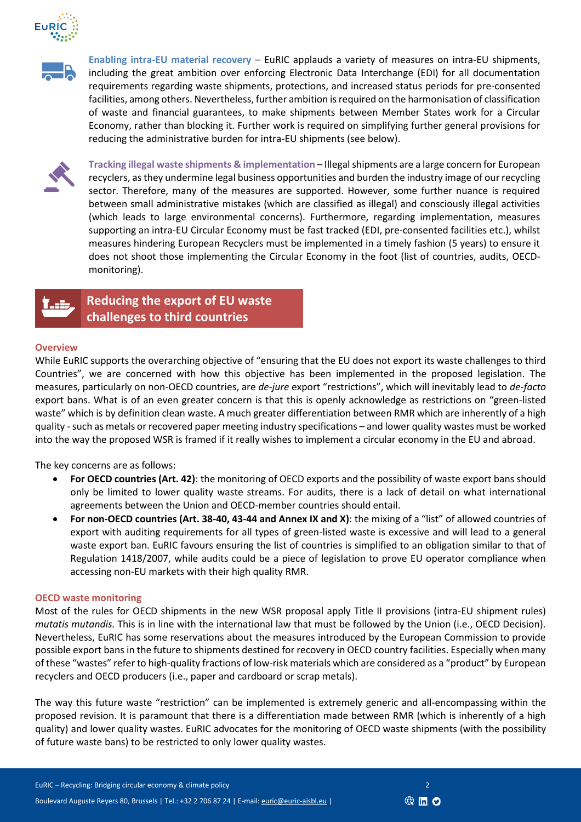



**Enabling intra-EU material recovery** – EuRIC applauds a variety of measures on intra-EU shipments, including the great ambition over enforcing Electronic Data Interchange (EDI) for all documentation requirements regarding waste shipments, protections, and increased status periods for pre-consented facilities, among others. Nevertheless, further ambition is required on the harmonisation of classification of waste and financial guarantees, to make shipments between Member States work for a Circular Economy, rather than blocking it. Further work is required on simplifying further general provisions for reducing the administrative burden for intra-EU shipments (see below).



**Tracking illegal waste shipments & implementation** – Illegal shipments are a large concern for European recyclers, as they undermine legal business opportunities and burden the industry image of our recycling sector. Therefore, many of the measures are supported. However, some further nuance is required between small administrative mistakes (which are classified as illegal) and consciously illegal activities (which leads to large environmental concerns). Furthermore, regarding implementation, measures supporting an intra-EU Circular Economy must be fast tracked (EDI, pre-consented facilities etc.), whilst measures hindering European Recyclers must be implemented in a timely fashion (5 years) to ensure it does not shoot those implementing the Circular Economy in the foot (list of countries, audits, OECDmonitoring).



**Reducing the export of EU waste challenges to third countries**

## **Overview**

While EuRIC supports the overarching objective of "ensuring that the EU does not export its waste challenges to third Countries", we are concerned with how this objective has been implemented in the proposed legislation. The measures, particularly on non-OECD countries, are *de-jure* export "restrictions", which will inevitably lead to *de-facto* export bans. What is of an even greater concern is that this is openly acknowledge as restrictions on "green-listed waste" which is by definition clean waste. A much greater differentiation between RMR which are inherently of a high quality -such as metals or recovered paper meeting industry specifications – and lower quality wastes must be worked into the way the proposed WSR is framed if it really wishes to implement a circular economy in the EU and abroad.

The key concerns are as follows:

- **For OECD countries (Art. 42)**: the monitoring of OECD exports and the possibility of waste export bans should only be limited to lower quality waste streams. For audits, there is a lack of detail on what international agreements between the Union and OECD-member countries should entail.
- **For non-OECD countries (Art. 38-40, 43-44 and Annex IX and X)**: the mixing of a "list" of allowed countries of export with auditing requirements for all types of green-listed waste is excessive and will lead to a general waste export ban. EuRIC favours ensuring the list of countries is simplified to an obligation similar to that of Regulation 1418/2007, while audits could be a piece of legislation to prove EU operator compliance when accessing non-EU markets with their high quality RMR.

#### **OECD waste monitoring**

Most of the rules for OECD shipments in the new WSR proposal apply Title II provisions (intra-EU shipment rules) *mutatis mutandis.* This is in line with the international law that must be followed by the Union (i.e., OECD Decision). Nevertheless, EuRIC has some reservations about the measures introduced by the European Commission to provide possible export bans in the future to shipments destined for recovery in OECD country facilities. Especially when many of these "wastes" refer to high-quality fractions of low-risk materials which are considered as a "product" by European recyclers and OECD producers (i.e., paper and cardboard or scrap metals).

The way this future waste "restriction" can be implemented is extremely generic and all-encompassing within the proposed revision. It is paramount that there is a differentiation made between RMR (which is inherently of a high quality) and lower quality wastes. EuRIC advocates for the monitoring of OECD waste shipments (with the possibility of future waste bans) to be restricted to only lower quality wastes.

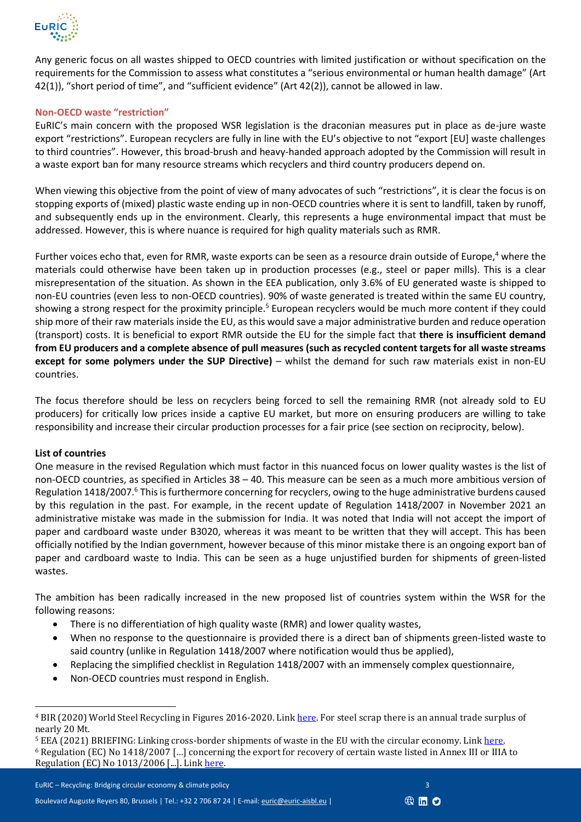

Any generic focus on all wastes shipped to OECD countries with limited justification or without specification on the requirements for the Commission to assess what constitutes a "serious environmental or human health damage" (Art 42(1)), "short period of time", and "sufficient evidence" (Art 42(2)), cannot be allowed in law.

## **Non-OECD waste "restriction"**

EuRIC's main concern with the proposed WSR legislation is the draconian measures put in place as de-jure waste export "restrictions". European recyclers are fully in line with the EU's objective to not "export [EU] waste challenges to third countries". However, this broad-brush and heavy-handed approach adopted by the Commission will result in a waste export ban for many resource streams which recyclers and third country producers depend on.

When viewing this objective from the point of view of many advocates of such "restrictions", it is clear the focus is on stopping exports of (mixed) plastic waste ending up in non-OECD countries where it is sent to landfill, taken by runoff, and subsequently ends up in the environment. Clearly, this represents a huge environmental impact that must be addressed. However, this is where nuance is required for high quality materials such as RMR.

Further voices echo that, even for RMR, waste exports can be seen as a resource drain outside of Europe,<sup>4</sup> where the materials could otherwise have been taken up in production processes (e.g., steel or paper mills). This is a clear misrepresentation of the situation. As shown in the EEA publication, only 3.6% of EU generated waste is shipped to non-EU countries (even less to non-OECD countries). 90% of waste generated is treated within the same EU country, showing a strong respect for the proximity principle.<sup>5</sup> European recyclers would be much more content if they could ship more of their raw materials inside the EU, as this would save a major administrative burden and reduce operation (transport) costs. It is beneficial to export RMR outside the EU for the simple fact that **there is insufficient demand from EU producers and a complete absence of pull measures (such as recycled content targets for all waste streams except for some polymers under the SUP Directive)** – whilst the demand for such raw materials exist in non-EU countries.

The focus therefore should be less on recyclers being forced to sell the remaining RMR (not already sold to EU producers) for critically low prices inside a captive EU market, but more on ensuring producers are willing to take responsibility and increase their circular production processes for a fair price (see section on reciprocity, below).

#### **List of countries**

One measure in the revised Regulation which must factor in this nuanced focus on lower quality wastes is the list of non-OECD countries, as specified in Articles 38 – 40. This measure can be seen as a much more ambitious version of Regulation 1418/2007.<sup>6</sup> This is furthermore concerning for recyclers, owing to the huge administrative burdens caused by this regulation in the past. For example, in the recent update of Regulation 1418/2007 in November 2021 an administrative mistake was made in the submission for India. It was noted that India will not accept the import of paper and cardboard waste under B3020, whereas it was meant to be written that they will accept. This has been officially notified by the Indian government, however because of this minor mistake there is an ongoing export ban of paper and cardboard waste to India. This can be seen as a huge unjustified burden for shipments of green-listed wastes.

The ambition has been radically increased in the new proposed list of countries system within the WSR for the following reasons:

- There is no differentiation of high quality waste (RMR) and lower quality wastes,
- When no response to the questionnaire is provided there is a direct ban of shipments green-listed waste to said country (unlike in Regulation 1418/2007 where notification would thus be applied),
- Replacing the simplified checklist in Regulation 1418/2007 with an immensely complex questionnaire,
- Non-OECD countries must respond in English.



<sup>&</sup>lt;sup>4</sup> BIR (2020) World Steel Recycling in Figures 2016-2020. Lin[k here.](https://www.bir.org/publications/facts-figures/download/821/175/36?method=view) For steel scrap there is an annual trade surplus of nearly 20 Mt.

<sup>&</sup>lt;sup>5</sup> EEA (2021) BRIEFING: Linking cross-border shipments of waste in the EU with the circular economy. Link here. <sup>6</sup> Regulation (EC) No 1418/2007 […] concerning the export for recovery of certain waste listed in Annex III or IIIA to Regulation (EC) No 1013/2006 [...]. Link [here.](https://eur-lex.europa.eu/legal-content/EN/ALL/?uri=CELEX%3A32007R1418)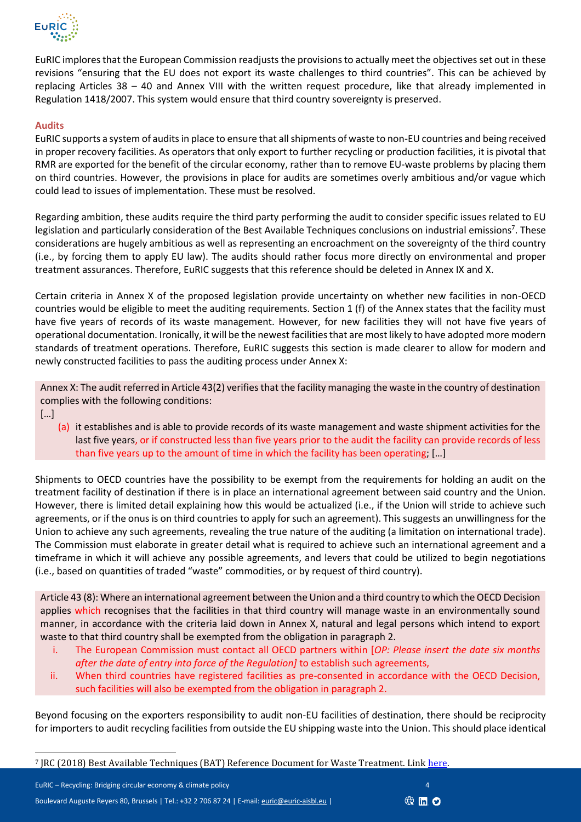

EuRIC implores that the European Commission readjusts the provisions to actually meet the objectives set out in these revisions "ensuring that the EU does not export its waste challenges to third countries". This can be achieved by replacing Articles 38 – 40 and Annex VIII with the written request procedure, like that already implemented in Regulation 1418/2007. This system would ensure that third country sovereignty is preserved.

#### **Audits**

EuRIC supports a system of audits in place to ensure that all shipments of waste to non-EU countries and being received in proper recovery facilities. As operators that only export to further recycling or production facilities, it is pivotal that RMR are exported for the benefit of the circular economy, rather than to remove EU-waste problems by placing them on third countries. However, the provisions in place for audits are sometimes overly ambitious and/or vague which could lead to issues of implementation. These must be resolved.

Regarding ambition, these audits require the third party performing the audit to consider specific issues related to EU legislation and particularly consideration of the Best Available Techniques conclusions on industrial emissions<sup>7</sup>. These considerations are hugely ambitious as well as representing an encroachment on the sovereignty of the third country (i.e., by forcing them to apply EU law). The audits should rather focus more directly on environmental and proper treatment assurances. Therefore, EuRIC suggests that this reference should be deleted in Annex IX and X.

Certain criteria in Annex X of the proposed legislation provide uncertainty on whether new facilities in non-OECD countries would be eligible to meet the auditing requirements. Section 1 (f) of the Annex states that the facility must have five years of records of its waste management. However, for new facilities they will not have five years of operational documentation. Ironically, it will be the newest facilities that are most likely to have adopted more modern standards of treatment operations. Therefore, EuRIC suggests this section is made clearer to allow for modern and newly constructed facilities to pass the auditing process under Annex X:

Annex X: The audit referred in Article 43(2) verifies that the facility managing the waste in the country of destination complies with the following conditions:

- […]
	- (a) it establishes and is able to provide records of its waste management and waste shipment activities for the last five years, or if constructed less than five years prior to the audit the facility can provide records of less than five years up to the amount of time in which the facility has been operating; […]

Shipments to OECD countries have the possibility to be exempt from the requirements for holding an audit on the treatment facility of destination if there is in place an international agreement between said country and the Union. However, there is limited detail explaining how this would be actualized (i.e., if the Union will stride to achieve such agreements, or if the onus is on third countries to apply for such an agreement). This suggests an unwillingness for the Union to achieve any such agreements, revealing the true nature of the auditing (a limitation on international trade). The Commission must elaborate in greater detail what is required to achieve such an international agreement and a timeframe in which it will achieve any possible agreements, and levers that could be utilized to begin negotiations (i.e., based on quantities of traded "waste" commodities, or by request of third country).

Article 43 (8): Where an international agreement between the Union and a third country to which the OECD Decision applies which recognises that the facilities in that third country will manage waste in an environmentally sound manner, in accordance with the criteria laid down in Annex X, natural and legal persons which intend to export waste to that third country shall be exempted from the obligation in paragraph 2.

- i. The European Commission must contact all OECD partners within [*OP: Please insert the date six months after the date of entry into force of the Regulation]* to establish such agreements,
- ii. When third countries have registered facilities as pre-consented in accordance with the OECD Decision, such facilities will also be exempted from the obligation in paragraph 2.

Beyond focusing on the exporters responsibility to audit non-EU facilities of destination, there should be reciprocity for importers to audit recycling facilities from outside the EU shipping waste into the Union. This should place identical



<sup>&</sup>lt;sup>7</sup> JRC (2018) Best Available Techniques (BAT) Reference Document for Waste Treatment. Link [here.](https://eippcb.jrc.ec.europa.eu/sites/default/files/2019-11/JRC113018_WT_Bref.pdf)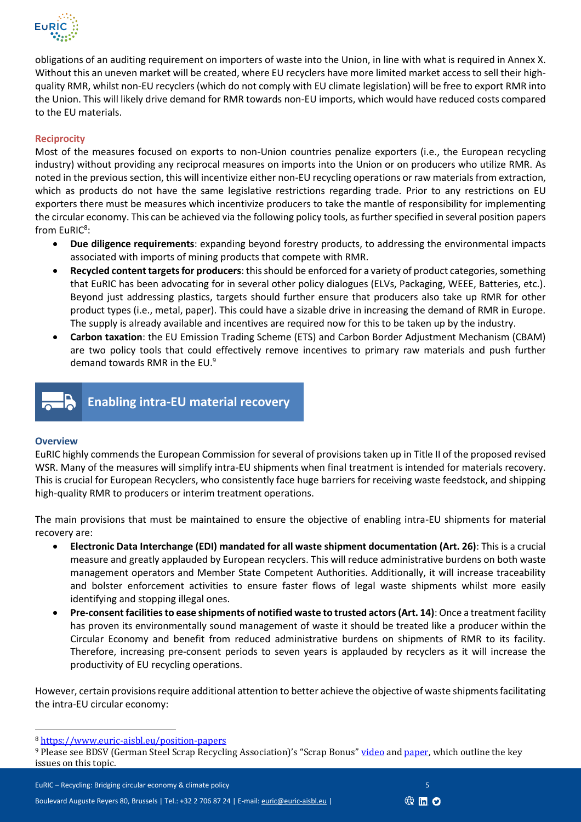

obligations of an auditing requirement on importers of waste into the Union, in line with what is required in Annex X. Without this an uneven market will be created, where EU recyclers have more limited market access to sell their highquality RMR, whilst non-EU recyclers (which do not comply with EU climate legislation) will be free to export RMR into the Union. This will likely drive demand for RMR towards non-EU imports, which would have reduced costs compared to the EU materials.

## **Reciprocity**

Most of the measures focused on exports to non-Union countries penalize exporters (i.e., the European recycling industry) without providing any reciprocal measures on imports into the Union or on producers who utilize RMR. As noted in the previous section, this will incentivize either non-EU recycling operations or raw materials from extraction, which as products do not have the same legislative restrictions regarding trade. Prior to any restrictions on EU exporters there must be measures which incentivize producers to take the mantle of responsibility for implementing the circular economy. This can be achieved via the following policy tools, as further specified in several position papers from  $\mathsf{EuRIC}^8$ :

- **Due diligence requirements**: expanding beyond forestry products, to addressing the environmental impacts associated with imports of mining products that compete with RMR.
- **Recycled content targetsfor producers**: this should be enforced for a variety of product categories, something that EuRIC has been advocating for in several other policy dialogues (ELVs, Packaging, WEEE, Batteries, etc.). Beyond just addressing plastics, targets should further ensure that producers also take up RMR for other product types (i.e., metal, paper). This could have a sizable drive in increasing the demand of RMR in Europe. The supply is already available and incentives are required now for this to be taken up by the industry.
- **Carbon taxation**: the EU Emission Trading Scheme (ETS) and Carbon Border Adjustment Mechanism (CBAM) are two policy tools that could effectively remove incentives to primary raw materials and push further demand towards RMR in the EU.<sup>9</sup>



**Enabling intra-EU material recovery**

#### **Overview**

EuRIC highly commends the European Commission for several of provisions taken up in Title II of the proposed revised WSR. Many of the measures will simplify intra-EU shipments when final treatment is intended for materials recovery. This is crucial for European Recyclers, who consistently face huge barriers for receiving waste feedstock, and shipping high-quality RMR to producers or interim treatment operations.

The main provisions that must be maintained to ensure the objective of enabling intra-EU shipments for material recovery are:

- **Electronic Data Interchange (EDI) mandated for all waste shipment documentation (Art. 26)**: This is a crucial measure and greatly applauded by European recyclers. This will reduce administrative burdens on both waste management operators and Member State Competent Authorities. Additionally, it will increase traceability and bolster enforcement activities to ensure faster flows of legal waste shipments whilst more easily identifying and stopping illegal ones.
- **Pre-consent facilitiesto ease shipments of notified waste to trusted actors(Art. 14)**: Once a treatment facility has proven its environmentally sound management of waste it should be treated like a producer within the Circular Economy and benefit from reduced administrative burdens on shipments of RMR to its facility. Therefore, increasing pre-consent periods to seven years is applauded by recyclers as it will increase the productivity of EU recycling operations.

However, certain provisions require additional attention to better achieve the objective of waste shipments facilitating the intra-EU circular economy:



<sup>8</sup> <https://www.euric-aisbl.eu/position-papers>

<sup>&</sup>lt;sup>9</sup> Please see BDSV (German Steel Scrap Recycling Association)'s "Scrap Bonus" [video](https://www.youtube.com/watch?v=jyk916dYvOo&ab_channel=BDSVe.V.Stahlrecycling) an[d paper,](https://www.bdsv.org/fileadmin/user_upload/Schrottbonus_Konkret_Full_PDF.pdf) which outline the key issues on this topic.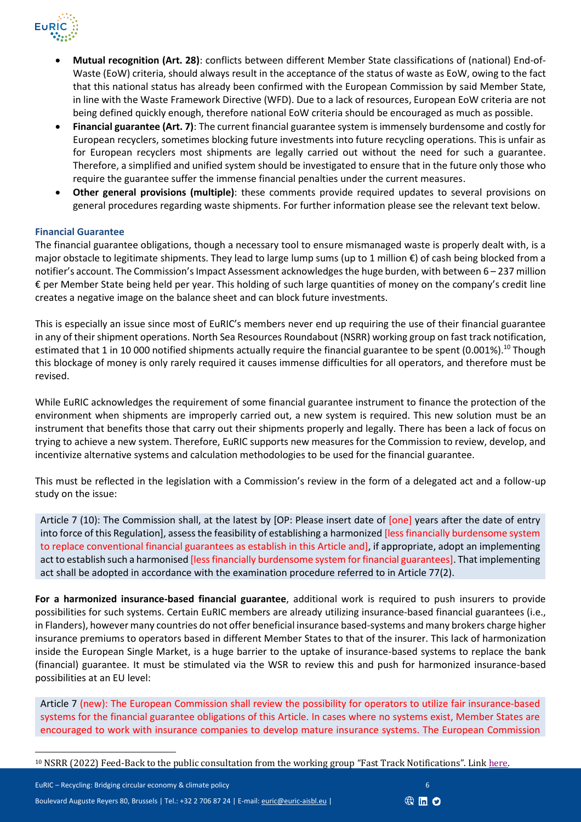

- **Mutual recognition (Art. 28)**: conflicts between different Member State classifications of (national) End-of-Waste (EoW) criteria, should always result in the acceptance of the status of waste as EoW, owing to the fact that this national status has already been confirmed with the European Commission by said Member State, in line with the Waste Framework Directive (WFD). Due to a lack of resources, European EoW criteria are not being defined quickly enough, therefore national EoW criteria should be encouraged as much as possible.
- **Financial guarantee (Art. 7)**: The current financial guarantee system is immensely burdensome and costly for European recyclers, sometimes blocking future investments into future recycling operations. This is unfair as for European recyclers most shipments are legally carried out without the need for such a guarantee. Therefore, a simplified and unified system should be investigated to ensure that in the future only those who require the guarantee suffer the immense financial penalties under the current measures.
- **Other general provisions (multiple)**: these comments provide required updates to several provisions on general procedures regarding waste shipments. For further information please see the relevant text below.

## **Financial Guarantee**

The financial guarantee obligations, though a necessary tool to ensure mismanaged waste is properly dealt with, is a major obstacle to legitimate shipments. They lead to large lump sums (up to 1 million €) of cash being blocked from a notifier's account. The Commission's Impact Assessment acknowledges the huge burden, with between 6 – 237 million € per Member State being held per year. This holding of such large quantities of money on the company's credit line creates a negative image on the balance sheet and can block future investments.

This is especially an issue since most of EuRIC's members never end up requiring the use of their financial guarantee in any of their shipment operations. North Sea Resources Roundabout (NSRR) working group on fast track notification, estimated that 1 in 10 000 notified shipments actually require the financial guarantee to be spent  $(0.001\%)$ .<sup>10</sup> Though this blockage of money is only rarely required it causes immense difficulties for all operators, and therefore must be revised.

While EuRIC acknowledges the requirement of some financial guarantee instrument to finance the protection of the environment when shipments are improperly carried out, a new system is required. This new solution must be an instrument that benefits those that carry out their shipments properly and legally. There has been a lack of focus on trying to achieve a new system. Therefore, EuRIC supports new measures for the Commission to review, develop, and incentivize alternative systems and calculation methodologies to be used for the financial guarantee.

This must be reflected in the legislation with a Commission's review in the form of a delegated act and a follow-up study on the issue:

Article 7 (10): The Commission shall, at the latest by [OP: Please insert date of [one] years after the date of entry into force of this Regulation], assess the feasibility of establishing a harmonized [less financially burdensome system to replace conventional financial guarantees as establish in this Article and], if appropriate, adopt an implementing act to establish such a harmonised [less financially burdensome system for financial guarantees]. That implementing act shall be adopted in accordance with the examination procedure referred to in Article 77(2).

**For a harmonized insurance-based financial guarantee**, additional work is required to push insurers to provide possibilities for such systems. Certain EuRIC members are already utilizing insurance-based financial guarantees (i.e., in Flanders), however many countries do not offer beneficial insurance based-systems and many brokers charge higher insurance premiums to operators based in different Member States to that of the insurer. This lack of harmonization inside the European Single Market, is a huge barrier to the uptake of insurance-based systems to replace the bank (financial) guarantee. It must be stimulated via the WSR to review this and push for harmonized insurance-based possibilities at an EU level:

Article 7 (new): The European Commission shall review the possibility for operators to utilize fair insurance-based systems for the financial guarantee obligations of this Article. In cases where no systems exist, Member States are encouraged to work with insurance companies to develop mature insurance systems. The European Commission

EuRIC – Recycling: Bridging circular economy & climate policy <sup>6</sup> Boulevard Auguste Reyers 80, Brussels | Tel.: +32 2 706 87 24 | E-mail[: euric@euric-aisbl.eu](mailto:euric@euric-aisbl.eu?subject=Inquiry%20regarding%20/please%20add%20subject%20here/) |



<sup>&</sup>lt;sup>10</sup> NSRR (2022) Feed-Back to the public consultation from the working group "Fast Track Notifications". Lin[k here.](https://ec.europa.eu/info/law/better-regulation/have-your-say/initiatives/7567584-Waste-shipments-revision-of-EU-rules/F2785500_en)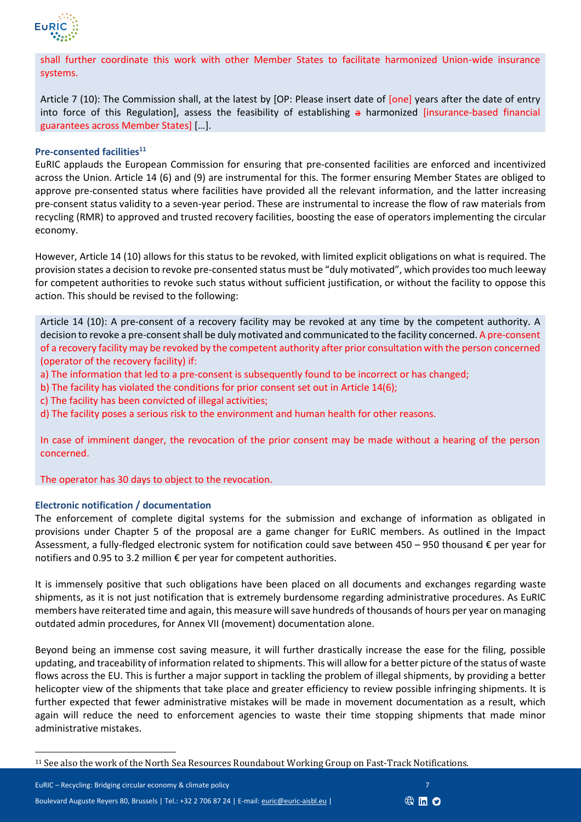

shall further coordinate this work with other Member States to facilitate harmonized Union-wide insurance systems.

Article 7 (10): The Commission shall, at the latest by [OP: Please insert date of [one] years after the date of entry into force of this Regulation], assess the feasibility of establishing  $a$  harmonized [insurance-based financial guarantees across Member States] […].

#### **Pre-consented facilities<sup>11</sup>**

EuRIC applauds the European Commission for ensuring that pre-consented facilities are enforced and incentivized across the Union. Article 14 (6) and (9) are instrumental for this. The former ensuring Member States are obliged to approve pre-consented status where facilities have provided all the relevant information, and the latter increasing pre-consent status validity to a seven-year period. These are instrumental to increase the flow of raw materials from recycling (RMR) to approved and trusted recovery facilities, boosting the ease of operators implementing the circular economy.

However, Article 14 (10) allows for this status to be revoked, with limited explicit obligations on what is required. The provision states a decision to revoke pre-consented status must be "duly motivated", which provides too much leeway for competent authorities to revoke such status without sufficient justification, or without the facility to oppose this action. This should be revised to the following:

Article 14 (10): A pre-consent of a recovery facility may be revoked at any time by the competent authority. A decision to revoke a pre-consent shall be duly motivated and communicated to the facility concerned. A pre-consent of a recovery facility may be revoked by the competent authority after prior consultation with the person concerned (operator of the recovery facility) if:

- a) The information that led to a pre-consent is subsequently found to be incorrect or has changed;
- b) The facility has violated the conditions for prior consent set out in Article 14(6);
- c) The facility has been convicted of illegal activities;
- d) The facility poses a serious risk to the environment and human health for other reasons.

In case of imminent danger, the revocation of the prior consent may be made without a hearing of the person concerned.

The operator has 30 days to object to the revocation.

#### **Electronic notification / documentation**

The enforcement of complete digital systems for the submission and exchange of information as obligated in provisions under Chapter 5 of the proposal are a game changer for EuRIC members. As outlined in the Impact Assessment, a fully-fledged electronic system for notification could save between 450 – 950 thousand € per year for notifiers and 0.95 to 3.2 million € per year for competent authorities.

It is immensely positive that such obligations have been placed on all documents and exchanges regarding waste shipments, as it is not just notification that is extremely burdensome regarding administrative procedures. As EuRIC members have reiterated time and again, this measure will save hundreds of thousands of hours per year on managing outdated admin procedures, for Annex VII (movement) documentation alone.

Beyond being an immense cost saving measure, it will further drastically increase the ease for the filing, possible updating, and traceability of information related to shipments. This will allow for a better picture of the status of waste flows across the EU. This is further a major support in tackling the problem of illegal shipments, by providing a better helicopter view of the shipments that take place and greater efficiency to review possible infringing shipments. It is further expected that fewer administrative mistakes will be made in movement documentation as a result, which again will reduce the need to enforcement agencies to waste their time stopping shipments that made minor administrative mistakes.

EuRIC – Recycling: Bridging circular economy & climate policy <sup>7</sup> Boulevard Auguste Reyers 80, Brussels | Tel.: +32 2 706 87 24 | E-mail[: euric@euric-aisbl.eu](mailto:euric@euric-aisbl.eu?subject=Inquiry%20regarding%20/please%20add%20subject%20here/) |



<sup>11</sup> See also the work of the North Sea Resources Roundabout Working Group on Fast-Track Notifications.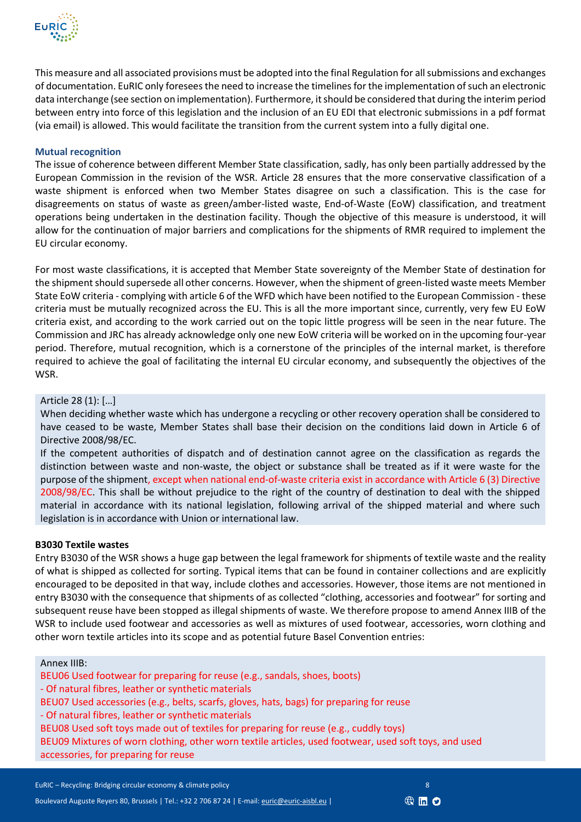

This measure and all associated provisions must be adopted into the final Regulation for all submissions and exchanges of documentation. EuRIC only foresees the need to increase the timelines for the implementation of such an electronic data interchange (see section on implementation). Furthermore, it should be considered that during the interim period between entry into force of this legislation and the inclusion of an EU EDI that electronic submissions in a pdf format (via email) is allowed. This would facilitate the transition from the current system into a fully digital one.

### **Mutual recognition**

The issue of coherence between different Member State classification, sadly, has only been partially addressed by the European Commission in the revision of the WSR. Article 28 ensures that the more conservative classification of a waste shipment is enforced when two Member States disagree on such a classification. This is the case for disagreements on status of waste as green/amber-listed waste, End-of-Waste (EoW) classification, and treatment operations being undertaken in the destination facility. Though the objective of this measure is understood, it will allow for the continuation of major barriers and complications for the shipments of RMR required to implement the EU circular economy.

For most waste classifications, it is accepted that Member State sovereignty of the Member State of destination for the shipment should supersede all other concerns. However, when the shipment of green-listed waste meets Member State EoW criteria - complying with article 6 of the WFD which have been notified to the European Commission - these criteria must be mutually recognized across the EU. This is all the more important since, currently, very few EU EoW criteria exist, and according to the work carried out on the topic little progress will be seen in the near future. The Commission and JRC has already acknowledge only one new EoW criteria will be worked on in the upcoming four-year period. Therefore, mutual recognition, which is a cornerstone of the principles of the internal market, is therefore required to achieve the goal of facilitating the internal EU circular economy, and subsequently the objectives of the WSR.

## Article 28 (1): […]

When deciding whether waste which has undergone a recycling or other recovery operation shall be considered to have ceased to be waste, Member States shall base their decision on the conditions laid down in Article 6 of Directive 2008/98/EC.

If the competent authorities of dispatch and of destination cannot agree on the classification as regards the distinction between waste and non-waste, the object or substance shall be treated as if it were waste for the purpose of the shipment, except when national end-of-waste criteria exist in accordance with Article 6 (3) Directive 2008/98/EC. This shall be without prejudice to the right of the country of destination to deal with the shipped material in accordance with its national legislation, following arrival of the shipped material and where such legislation is in accordance with Union or international law.

#### **B3030 Textile wastes**

Entry B3030 of the WSR shows a huge gap between the legal framework for shipments of textile waste and the reality of what is shipped as collected for sorting. Typical items that can be found in container collections and are explicitly encouraged to be deposited in that way, include clothes and accessories. However, those items are not mentioned in entry B3030 with the consequence that shipments of as collected "clothing, accessories and footwear" for sorting and subsequent reuse have been stopped as illegal shipments of waste. We therefore propose to amend Annex IIIB of the WSR to include used footwear and accessories as well as mixtures of used footwear, accessories, worn clothing and other worn textile articles into its scope and as potential future Basel Convention entries:

#### Annex IIIB:

BEU06 Used footwear for preparing for reuse (e.g., sandals, shoes, boots) - Of natural fibres, leather or synthetic materials BEU07 Used accessories (e.g., belts, scarfs, gloves, hats, bags) for preparing for reuse - Of natural fibres, leather or synthetic materials BEU08 Used soft toys made out of textiles for preparing for reuse (e.g., cuddly toys) BEU09 Mixtures of worn clothing, other worn textile articles, used footwear, used soft toys, and used accessories, for preparing for reuse

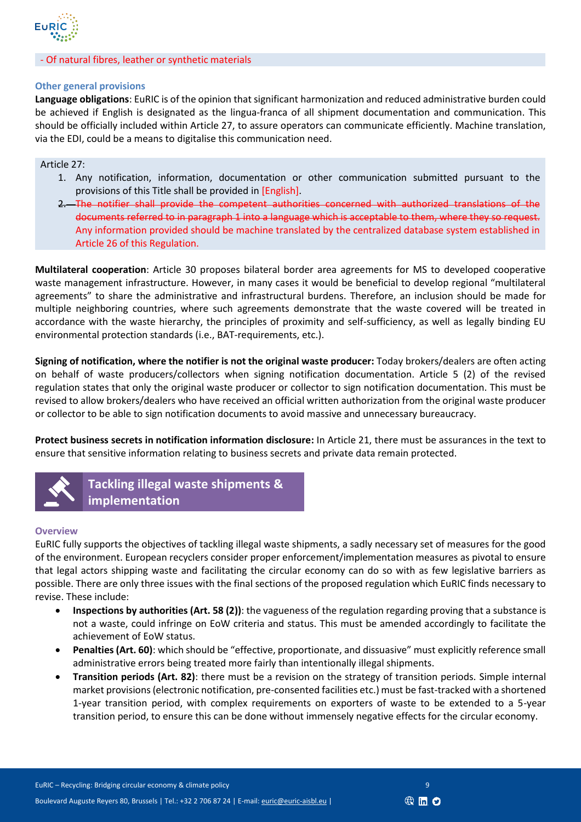

#### - Of natural fibres, leather or synthetic materials

#### **Other general provisions**

**Language obligations**: EuRIC is of the opinion that significant harmonization and reduced administrative burden could be achieved if English is designated as the lingua-franca of all shipment documentation and communication. This should be officially included within Article 27, to assure operators can communicate efficiently. Machine translation, via the EDI, could be a means to digitalise this communication need.

#### Article 27:

- 1. Any notification, information, documentation or other communication submitted pursuant to the provisions of this Title shall be provided in [English].
- 2. The notifier shall provide the competent authorities concerned with authorized translations of the documents referred to in paragraph 1 into a language which is acceptable to them, where they so request. Any information provided should be machine translated by the centralized database system established in Article 26 of this Regulation.

**Multilateral cooperation**: Article 30 proposes bilateral border area agreements for MS to developed cooperative waste management infrastructure. However, in many cases it would be beneficial to develop regional "multilateral agreements" to share the administrative and infrastructural burdens. Therefore, an inclusion should be made for multiple neighboring countries, where such agreements demonstrate that the waste covered will be treated in accordance with the waste hierarchy, the principles of proximity and self-sufficiency, as well as legally binding EU environmental protection standards (i.e., BAT-requirements, etc.).

**Signing of notification, where the notifier is not the original waste producer:** Today brokers/dealers are often acting on behalf of waste producers/collectors when signing notification documentation. Article 5 (2) of the revised regulation states that only the original waste producer or collector to sign notification documentation. This must be revised to allow brokers/dealers who have received an official written authorization from the original waste producer or collector to be able to sign notification documents to avoid massive and unnecessary bureaucracy.

**Protect business secrets in notification information disclosure:** In Article 21, there must be assurances in the text to ensure that sensitive information relating to business secrets and private data remain protected.



**Tackling illegal waste shipments & implementation**

#### **Overview**

EuRIC fully supports the objectives of tackling illegal waste shipments, a sadly necessary set of measures for the good of the environment. European recyclers consider proper enforcement/implementation measures as pivotal to ensure that legal actors shipping waste and facilitating the circular economy can do so with as few legislative barriers as possible. There are only three issues with the final sections of the proposed regulation which EuRIC finds necessary to revise. These include:

- **Inspections by authorities (Art. 58 (2))**: the vagueness of the regulation regarding proving that a substance is not a waste, could infringe on EoW criteria and status. This must be amended accordingly to facilitate the achievement of EoW status.
- **Penalties (Art. 60)**: which should be "effective, proportionate, and dissuasive" must explicitly reference small administrative errors being treated more fairly than intentionally illegal shipments.
- **Transition periods (Art. 82)**: there must be a revision on the strategy of transition periods. Simple internal market provisions (electronic notification, pre-consented facilities etc.) must be fast-tracked with a shortened 1-year transition period, with complex requirements on exporters of waste to be extended to a 5-year transition period, to ensure this can be done without immensely negative effects for the circular economy.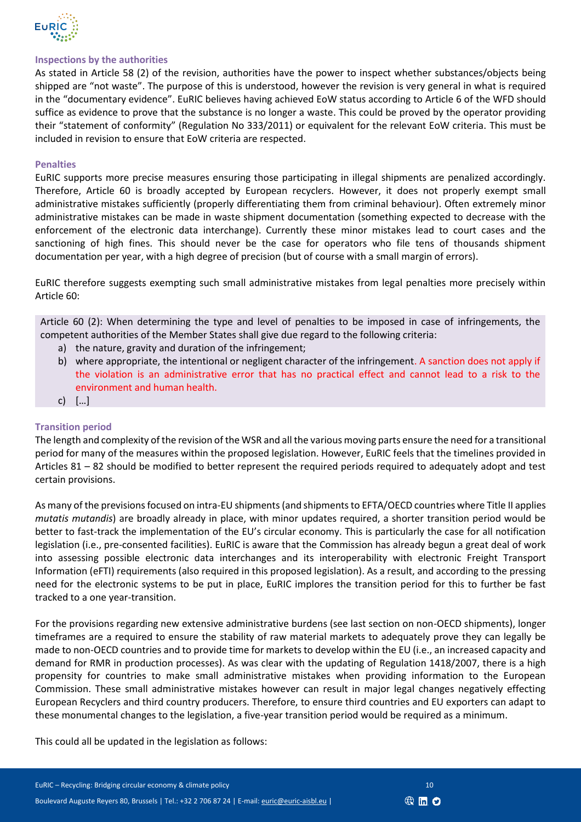

#### **Inspections by the authorities**

As stated in Article 58 (2) of the revision, authorities have the power to inspect whether substances/objects being shipped are "not waste". The purpose of this is understood, however the revision is very general in what is required in the "documentary evidence". EuRIC believes having achieved EoW status according to Article 6 of the WFD should suffice as evidence to prove that the substance is no longer a waste. This could be proved by the operator providing their "statement of conformity" (Regulation No 333/2011) or equivalent for the relevant EoW criteria. This must be included in revision to ensure that EoW criteria are respected.

#### **Penalties**

EuRIC supports more precise measures ensuring those participating in illegal shipments are penalized accordingly. Therefore, Article 60 is broadly accepted by European recyclers. However, it does not properly exempt small administrative mistakes sufficiently (properly differentiating them from criminal behaviour). Often extremely minor administrative mistakes can be made in waste shipment documentation (something expected to decrease with the enforcement of the electronic data interchange). Currently these minor mistakes lead to court cases and the sanctioning of high fines. This should never be the case for operators who file tens of thousands shipment documentation per year, with a high degree of precision (but of course with a small margin of errors).

EuRIC therefore suggests exempting such small administrative mistakes from legal penalties more precisely within Article 60:

Article 60 (2): When determining the type and level of penalties to be imposed in case of infringements, the competent authorities of the Member States shall give due regard to the following criteria:

- a) the nature, gravity and duration of the infringement;
- b) where appropriate, the intentional or negligent character of the infringement. A sanction does not apply if the violation is an administrative error that has no practical effect and cannot lead to a risk to the environment and human health.
- c) […]

#### **Transition period**

The length and complexity of the revision of the WSR and all the various moving parts ensure the need for a transitional period for many of the measures within the proposed legislation. However, EuRIC feels that the timelines provided in Articles 81 – 82 should be modified to better represent the required periods required to adequately adopt and test certain provisions.

As many of the previsions focused on intra-EU shipments(and shipments to EFTA/OECD countries where Title II applies *mutatis mutandis*) are broadly already in place, with minor updates required, a shorter transition period would be better to fast-track the implementation of the EU's circular economy. This is particularly the case for all notification legislation (i.e., pre-consented facilities). EuRIC is aware that the Commission has already begun a great deal of work into assessing possible electronic data interchanges and its interoperability with electronic Freight Transport Information (eFTI) requirements (also required in this proposed legislation). As a result, and according to the pressing need for the electronic systems to be put in place, EuRIC implores the transition period for this to further be fast tracked to a one year-transition.

For the provisions regarding new extensive administrative burdens (see last section on non-OECD shipments), longer timeframes are a required to ensure the stability of raw material markets to adequately prove they can legally be made to non-OECD countries and to provide time for markets to develop within the EU (i.e., an increased capacity and demand for RMR in production processes). As was clear with the updating of Regulation 1418/2007, there is a high propensity for countries to make small administrative mistakes when providing information to the European Commission. These small administrative mistakes however can result in major legal changes negatively effecting European Recyclers and third country producers. Therefore, to ensure third countries and EU exporters can adapt to these monumental changes to the legislation, a five-year transition period would be required as a minimum.

This could all be updated in the legislation as follows: